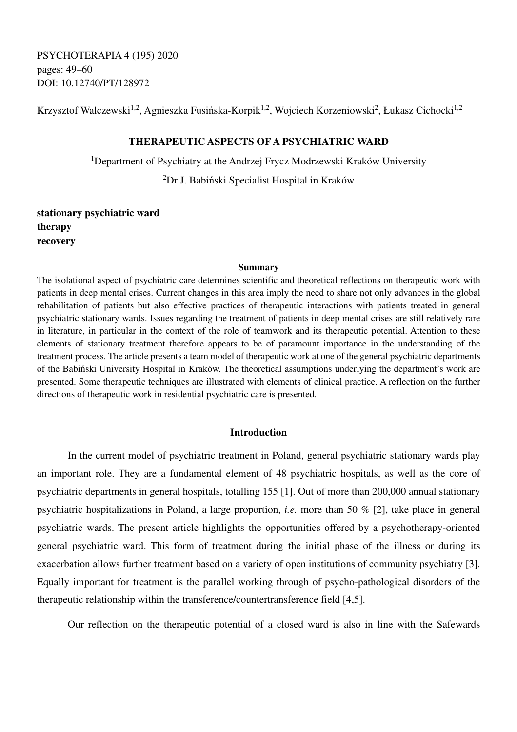PSYCHOTERAPIA 4 (195) 2020 pages: 49–60 DOI: 10.12740/PT/128972

Krzysztof Walczewski<sup>1,2</sup>, Agnieszka Fusińska-Korpik<sup>1,2</sup>, Wojciech Korzeniowski<sup>2</sup>, Łukasz Cichocki<sup>1,2</sup>

## **THERAPEUTIC ASPECTS OF A PSYCHIATRIC WARD**

<sup>1</sup>Department of Psychiatry at the Andrzej Frycz Modrzewski Kraków University <sup>2</sup>Dr J. Babiński Specialist Hospital in Kraków

**stationary psychiatric ward therapy recovery** 

#### **Summary**

The isolational aspect of psychiatric care determines scientific and theoretical reflections on therapeutic work with patients in deep mental crises. Current changes in this area imply the need to share not only advances in the global rehabilitation of patients but also effective practices of therapeutic interactions with patients treated in general psychiatric stationary wards. Issues regarding the treatment of patients in deep mental crises are still relatively rare in literature, in particular in the context of the role of teamwork and its therapeutic potential. Attention to these elements of stationary treatment therefore appears to be of paramount importance in the understanding of the treatment process. The article presents a team model of therapeutic work at one of the general psychiatric departments of the Babiński University Hospital in Kraków. The theoretical assumptions underlying the department's work are presented. Some therapeutic techniques are illustrated with elements of clinical practice. A reflection on the further directions of therapeutic work in residential psychiatric care is presented.

# **Introduction**

In the current model of psychiatric treatment in Poland, general psychiatric stationary wards play an important role. They are a fundamental element of 48 psychiatric hospitals, as well as the core of psychiatric departments in general hospitals, totalling 155 [1]. Out of more than 200,000 annual stationary psychiatric hospitalizations in Poland, a large proportion, *i.e.* more than 50 % [2], take place in general psychiatric wards. The present article highlights the opportunities offered by a psychotherapy-oriented general psychiatric ward. This form of treatment during the initial phase of the illness or during its exacerbation allows further treatment based on a variety of open institutions of community psychiatry [3]. Equally important for treatment is the parallel working through of psycho-pathological disorders of the therapeutic relationship within the transference/countertransference field [4,5].

Our reflection on the therapeutic potential of a closed ward is also in line with the Safewards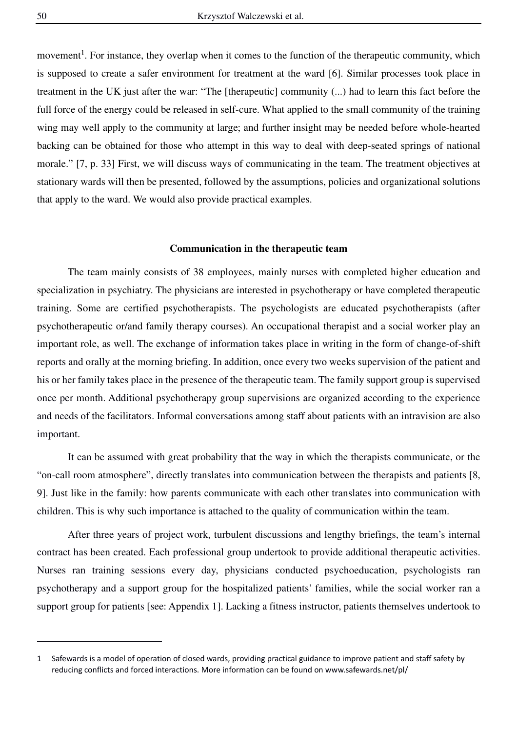movement<sup>1</sup>. For instance, they overlap when it comes to the function of the therapeutic community, which is supposed to create a safer environment for treatment at the ward [6]. Similar processes took place in treatment in the UK just after the war: "The [therapeutic] community (...) had to learn this fact before the full force of the energy could be released in self-cure. What applied to the small community of the training wing may well apply to the community at large; and further insight may be needed before whole-hearted backing can be obtained for those who attempt in this way to deal with deep-seated springs of national morale." [7, p. 33] First, we will discuss ways of communicating in the team. The treatment objectives at stationary wards will then be presented, followed by the assumptions, policies and organizational solutions that apply to the ward. We would also provide practical examples.

#### **Communication in the therapeutic team**

 The team mainly consists of 38 employees, mainly nurses with completed higher education and specialization in psychiatry. The physicians are interested in psychotherapy or have completed therapeutic training. Some are certified psychotherapists. The psychologists are educated psychotherapists (after psychotherapeutic or/and family therapy courses). An occupational therapist and a social worker play an important role, as well. The exchange of information takes place in writing in the form of change-of-shift reports and orally at the morning briefing. In addition, once every two weeks supervision of the patient and his or her family takes place in the presence of the therapeutic team. The family support group is supervised once per month. Additional psychotherapy group supervisions are organized according to the experience and needs of the facilitators. Informal conversations among staff about patients with an intravision are also important.

It can be assumed with great probability that the way in which the therapists communicate, or the "on-call room atmosphere", directly translates into communication between the therapists and patients [8, 9]. Just like in the family: how parents communicate with each other translates into communication with children. This is why such importance is attached to the quality of communication within the team.

After three years of project work, turbulent discussions and lengthy briefings, the team's internal contract has been created. Each professional group undertook to provide additional therapeutic activities. Nurses ran training sessions every day, physicians conducted psychoeducation, psychologists ran psychotherapy and a support group for the hospitalized patients' families, while the social worker ran a support group for patients [see: Appendix 1]. Lacking a fitness instructor, patients themselves undertook to

<sup>1</sup> Safewards is a model of operation of closed wards, providing practical guidance to improve patient and staff safety by reducing conflicts and forced interactions. More information can be found on www.safewards.net/pl/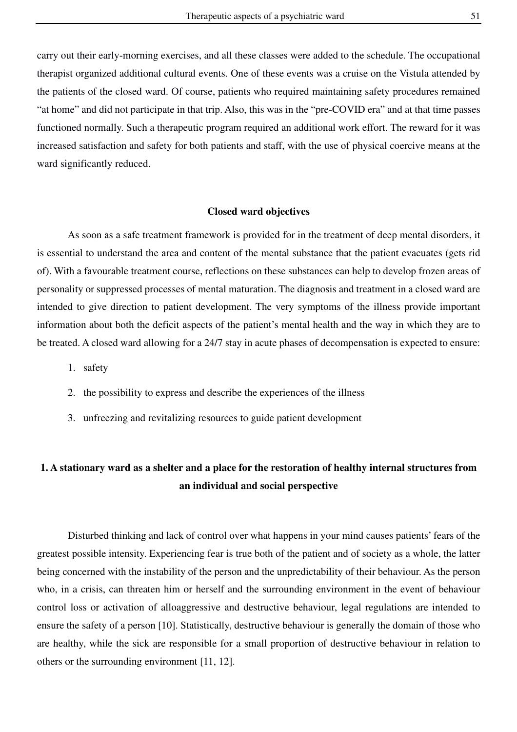carry out their early-morning exercises, and all these classes were added to the schedule. The occupational therapist organized additional cultural events. One of these events was a cruise on the Vistula attended by the patients of the closed ward. Of course, patients who required maintaining safety procedures remained "at home" and did not participate in that trip. Also, this was in the "pre-COVID era" and at that time passes functioned normally. Such a therapeutic program required an additional work effort. The reward for it was increased satisfaction and safety for both patients and staff, with the use of physical coercive means at the ward significantly reduced.

#### **Closed ward objectives**

 As soon as a safe treatment framework is provided for in the treatment of deep mental disorders, it is essential to understand the area and content of the mental substance that the patient evacuates (gets rid of). With a favourable treatment course, reflections on these substances can help to develop frozen areas of personality or suppressed processes of mental maturation. The diagnosis and treatment in a closed ward are intended to give direction to patient development. The very symptoms of the illness provide important information about both the deficit aspects of the patient's mental health and the way in which they are to be treated. A closed ward allowing for a 24/7 stay in acute phases of decompensation is expected to ensure:

- 1. safety
- 2. the possibility to express and describe the experiences of the illness
- 3. unfreezing and revitalizing resources to guide patient development

# **1. A stationary ward as a shelter and a place for the restoration of healthy internal structures from an individual and social perspective**

Disturbed thinking and lack of control over what happens in your mind causes patients' fears of the greatest possible intensity. Experiencing fear is true both of the patient and of society as a whole, the latter being concerned with the instability of the person and the unpredictability of their behaviour. As the person who, in a crisis, can threaten him or herself and the surrounding environment in the event of behaviour control loss or activation of alloaggressive and destructive behaviour, legal regulations are intended to ensure the safety of a person [10]. Statistically, destructive behaviour is generally the domain of those who are healthy, while the sick are responsible for a small proportion of destructive behaviour in relation to others or the surrounding environment [11, 12].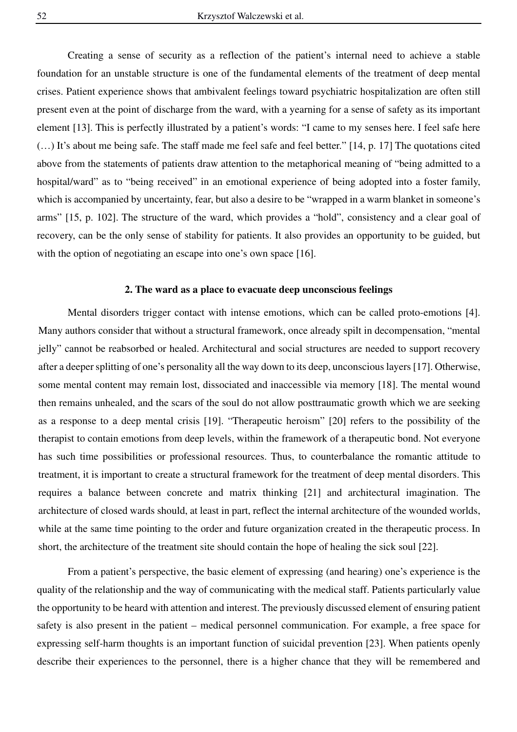Creating a sense of security as a reflection of the patient's internal need to achieve a stable foundation for an unstable structure is one of the fundamental elements of the treatment of deep mental crises. Patient experience shows that ambivalent feelings toward psychiatric hospitalization are often still present even at the point of discharge from the ward, with a yearning for a sense of safety as its important element [13]. This is perfectly illustrated by a patient's words: "I came to my senses here. I feel safe here (…) It's about me being safe. The staff made me feel safe and feel better." [14, p. 17] The quotations cited above from the statements of patients draw attention to the metaphorical meaning of "being admitted to a hospital/ward" as to "being received" in an emotional experience of being adopted into a foster family, which is accompanied by uncertainty, fear, but also a desire to be "wrapped in a warm blanket in someone's arms" [15, p. 102]. The structure of the ward, which provides a "hold", consistency and a clear goal of recovery, can be the only sense of stability for patients. It also provides an opportunity to be guided, but with the option of negotiating an escape into one's own space [16].

#### **2. The ward as a place to evacuate deep unconscious feelings**

Mental disorders trigger contact with intense emotions, which can be called proto-emotions [4]. Many authors consider that without a structural framework, once already spilt in decompensation, "mental jelly" cannot be reabsorbed or healed. Architectural and social structures are needed to support recovery after a deeper splitting of one's personality all the way down to its deep, unconscious layers [17]. Otherwise, some mental content may remain lost, dissociated and inaccessible via memory [18]. The mental wound then remains unhealed, and the scars of the soul do not allow posttraumatic growth which we are seeking as a response to a deep mental crisis [19]. "Therapeutic heroism" [20] refers to the possibility of the therapist to contain emotions from deep levels, within the framework of a therapeutic bond. Not everyone has such time possibilities or professional resources. Thus, to counterbalance the romantic attitude to treatment, it is important to create a structural framework for the treatment of deep mental disorders. This requires a balance between concrete and matrix thinking [21] and architectural imagination. The architecture of closed wards should, at least in part, reflect the internal architecture of the wounded worlds, while at the same time pointing to the order and future organization created in the therapeutic process. In short, the architecture of the treatment site should contain the hope of healing the sick soul [22].

From a patient's perspective, the basic element of expressing (and hearing) one's experience is the quality of the relationship and the way of communicating with the medical staff. Patients particularly value the opportunity to be heard with attention and interest. The previously discussed element of ensuring patient safety is also present in the patient – medical personnel communication. For example, a free space for expressing self-harm thoughts is an important function of suicidal prevention [23]. When patients openly describe their experiences to the personnel, there is a higher chance that they will be remembered and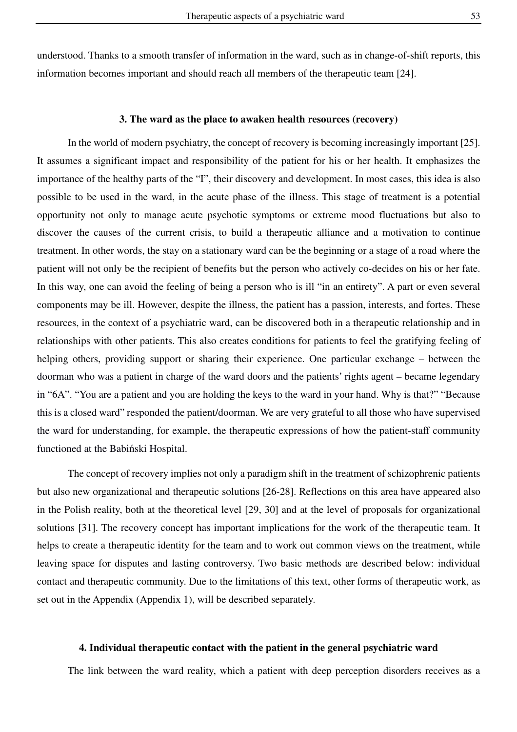understood. Thanks to a smooth transfer of information in the ward, such as in change-of-shift reports, this information becomes important and should reach all members of the therapeutic team [24].

#### **3. The ward as the place to awaken health resources (recovery)**

In the world of modern psychiatry, the concept of recovery is becoming increasingly important [25]. It assumes a significant impact and responsibility of the patient for his or her health. It emphasizes the importance of the healthy parts of the "I", their discovery and development. In most cases, this idea is also possible to be used in the ward, in the acute phase of the illness. This stage of treatment is a potential opportunity not only to manage acute psychotic symptoms or extreme mood fluctuations but also to discover the causes of the current crisis, to build a therapeutic alliance and a motivation to continue treatment. In other words, the stay on a stationary ward can be the beginning or a stage of a road where the patient will not only be the recipient of benefits but the person who actively co-decides on his or her fate. In this way, one can avoid the feeling of being a person who is ill "in an entirety". A part or even several components may be ill. However, despite the illness, the patient has a passion, interests, and fortes. These resources, in the context of a psychiatric ward, can be discovered both in a therapeutic relationship and in relationships with other patients. This also creates conditions for patients to feel the gratifying feeling of helping others, providing support or sharing their experience. One particular exchange – between the doorman who was a patient in charge of the ward doors and the patients' rights agent – became legendary in "6A". "You are a patient and you are holding the keys to the ward in your hand. Why is that?" "Because this is a closed ward" responded the patient/doorman. We are very grateful to all those who have supervised the ward for understanding, for example, the therapeutic expressions of how the patient-staff community functioned at the Babiński Hospital.

The concept of recovery implies not only a paradigm shift in the treatment of schizophrenic patients but also new organizational and therapeutic solutions [26-28]. Reflections on this area have appeared also in the Polish reality, both at the theoretical level [29, 30] and at the level of proposals for organizational solutions [31]. The recovery concept has important implications for the work of the therapeutic team. It helps to create a therapeutic identity for the team and to work out common views on the treatment, while leaving space for disputes and lasting controversy. Two basic methods are described below: individual contact and therapeutic community. Due to the limitations of this text, other forms of therapeutic work, as set out in the Appendix (Appendix 1), will be described separately.

#### **4. Individual therapeutic contact with the patient in the general psychiatric ward**

The link between the ward reality, which a patient with deep perception disorders receives as a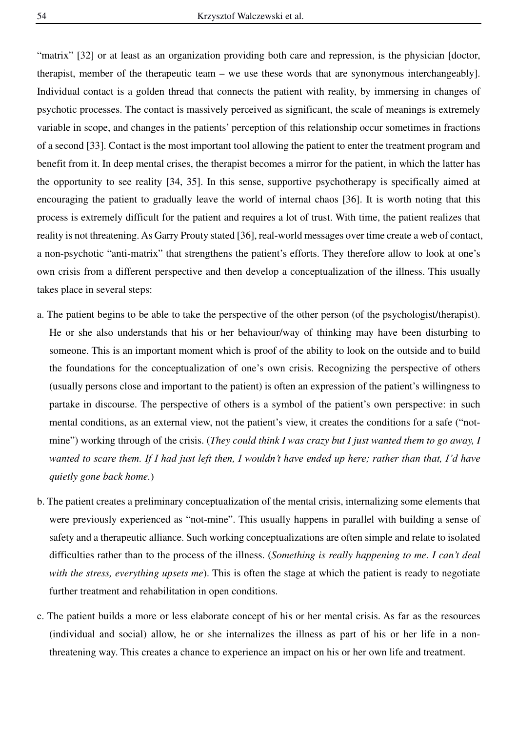"matrix" [32] or at least as an organization providing both care and repression, is the physician [doctor, therapist, member of the therapeutic team – we use these words that are synonymous interchangeably]. Individual contact is a golden thread that connects the patient with reality, by immersing in changes of psychotic processes. The contact is massively perceived as significant, the scale of meanings is extremely variable in scope, and changes in the patients' perception of this relationship occur sometimes in fractions of a second [33]. Contact is the most important tool allowing the patient to enter the treatment program and benefit from it. In deep mental crises, the therapist becomes a mirror for the patient, in which the latter has the opportunity to see reality [34, 35]. In this sense, supportive psychotherapy is specifically aimed at encouraging the patient to gradually leave the world of internal chaos [36]. It is worth noting that this process is extremely difficult for the patient and requires a lot of trust. With time, the patient realizes that reality is not threatening. As Garry Prouty stated [36], real-world messages over time create a web of contact, a non-psychotic "anti-matrix" that strengthens the patient's efforts. They therefore allow to look at one's own crisis from a different perspective and then develop a conceptualization of the illness. This usually takes place in several steps:

- a. The patient begins to be able to take the perspective of the other person (of the psychologist/therapist). He or she also understands that his or her behaviour/way of thinking may have been disturbing to someone. This is an important moment which is proof of the ability to look on the outside and to build the foundations for the conceptualization of one's own crisis. Recognizing the perspective of others (usually persons close and important to the patient) is often an expression of the patient's willingness to partake in discourse. The perspective of others is a symbol of the patient's own perspective: in such mental conditions, as an external view, not the patient's view, it creates the conditions for a safe ("notmine") working through of the crisis. (*They could think I was crazy but I just wanted them to go away, I wanted to scare them. If I had just left then, I wouldn't have ended up here; rather than that, I'd have quietly gone back home.*)
- b. The patient creates a preliminary conceptualization of the mental crisis, internalizing some elements that were previously experienced as "not-mine". This usually happens in parallel with building a sense of safety and a therapeutic alliance. Such working conceptualizations are often simple and relate to isolated difficulties rather than to the process of the illness. (*Something is really happening to me. I can't deal with the stress, everything upsets me*). This is often the stage at which the patient is ready to negotiate further treatment and rehabilitation in open conditions.
- c. The patient builds a more or less elaborate concept of his or her mental crisis. As far as the resources (individual and social) allow, he or she internalizes the illness as part of his or her life in a nonthreatening way. This creates a chance to experience an impact on his or her own life and treatment.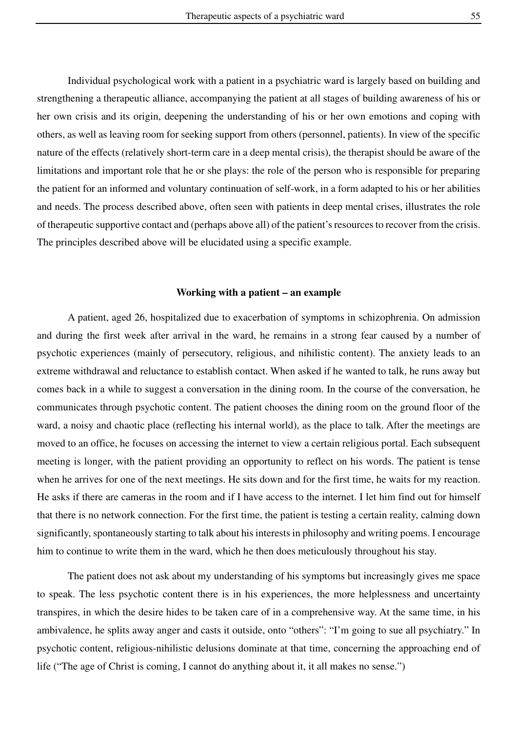Individual psychological work with a patient in a psychiatric ward is largely based on building and strengthening a therapeutic alliance, accompanying the patient at all stages of building awareness of his or her own crisis and its origin, deepening the understanding of his or her own emotions and coping with others, as well as leaving room for seeking support from others (personnel, patients). In view of the specific nature of the effects (relatively short-term care in a deep mental crisis), the therapist should be aware of the limitations and important role that he or she plays: the role of the person who is responsible for preparing the patient for an informed and voluntary continuation of self-work, in a form adapted to his or her abilities and needs. The process described above, often seen with patients in deep mental crises, illustrates the role of therapeutic supportive contact and (perhaps above all) of the patient's resources to recover from the crisis. The principles described above will be elucidated using a specific example.

#### **Working with a patient – an example**

A patient, aged 26, hospitalized due to exacerbation of symptoms in schizophrenia. On admission and during the first week after arrival in the ward, he remains in a strong fear caused by a number of psychotic experiences (mainly of persecutory, religious, and nihilistic content). The anxiety leads to an extreme withdrawal and reluctance to establish contact. When asked if he wanted to talk, he runs away but comes back in a while to suggest a conversation in the dining room. In the course of the conversation, he communicates through psychotic content. The patient chooses the dining room on the ground floor of the ward, a noisy and chaotic place (reflecting his internal world), as the place to talk. After the meetings are moved to an office, he focuses on accessing the internet to view a certain religious portal. Each subsequent meeting is longer, with the patient providing an opportunity to reflect on his words. The patient is tense when he arrives for one of the next meetings. He sits down and for the first time, he waits for my reaction. He asks if there are cameras in the room and if I have access to the internet. I let him find out for himself that there is no network connection. For the first time, the patient is testing a certain reality, calming down significantly, spontaneously starting to talk about his interests in philosophy and writing poems. I encourage him to continue to write them in the ward, which he then does meticulously throughout his stay.

The patient does not ask about my understanding of his symptoms but increasingly gives me space to speak. The less psychotic content there is in his experiences, the more helplessness and uncertainty transpires, in which the desire hides to be taken care of in a comprehensive way. At the same time, in his ambivalence, he splits away anger and casts it outside, onto "others": "I'm going to sue all psychiatry." In psychotic content, religious-nihilistic delusions dominate at that time, concerning the approaching end of life ("The age of Christ is coming, I cannot do anything about it, it all makes no sense.")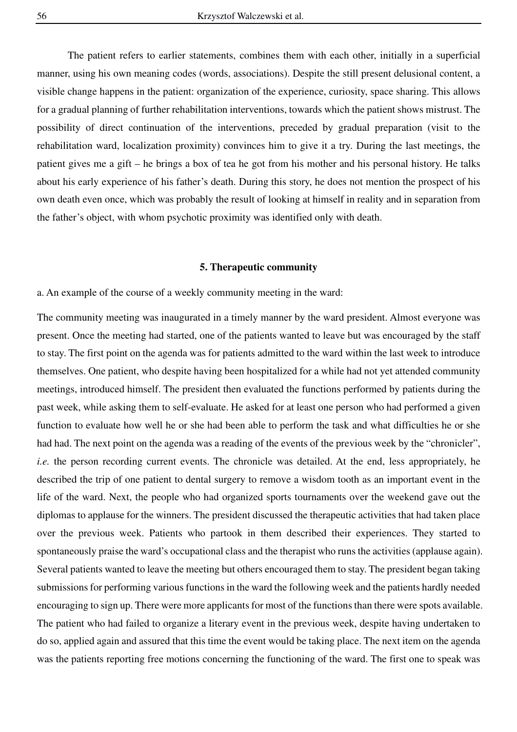The patient refers to earlier statements, combines them with each other, initially in a superficial manner, using his own meaning codes (words, associations). Despite the still present delusional content, a visible change happens in the patient: organization of the experience, curiosity, space sharing. This allows for a gradual planning of further rehabilitation interventions, towards which the patient shows mistrust. The possibility of direct continuation of the interventions, preceded by gradual preparation (visit to the rehabilitation ward, localization proximity) convinces him to give it a try. During the last meetings, the patient gives me a gift – he brings a box of tea he got from his mother and his personal history. He talks about his early experience of his father's death. During this story, he does not mention the prospect of his own death even once, which was probably the result of looking at himself in reality and in separation from the father's object, with whom psychotic proximity was identified only with death.

#### **5. Therapeutic community**

a. An example of the course of a weekly community meeting in the ward:

The community meeting was inaugurated in a timely manner by the ward president. Almost everyone was present. Once the meeting had started, one of the patients wanted to leave but was encouraged by the staff to stay. The first point on the agenda was for patients admitted to the ward within the last week to introduce themselves. One patient, who despite having been hospitalized for a while had not yet attended community meetings, introduced himself. The president then evaluated the functions performed by patients during the past week, while asking them to self-evaluate. He asked for at least one person who had performed a given function to evaluate how well he or she had been able to perform the task and what difficulties he or she had had. The next point on the agenda was a reading of the events of the previous week by the "chronicler", *i.e.* the person recording current events. The chronicle was detailed. At the end, less appropriately, he described the trip of one patient to dental surgery to remove a wisdom tooth as an important event in the life of the ward. Next, the people who had organized sports tournaments over the weekend gave out the diplomas to applause for the winners. The president discussed the therapeutic activities that had taken place over the previous week. Patients who partook in them described their experiences. They started to spontaneously praise the ward's occupational class and the therapist who runs the activities (applause again). Several patients wanted to leave the meeting but others encouraged them to stay. The president began taking submissions for performing various functions in the ward the following week and the patients hardly needed encouraging to sign up. There were more applicants for most of the functions than there were spots available. The patient who had failed to organize a literary event in the previous week, despite having undertaken to do so, applied again and assured that this time the event would be taking place. The next item on the agenda was the patients reporting free motions concerning the functioning of the ward. The first one to speak was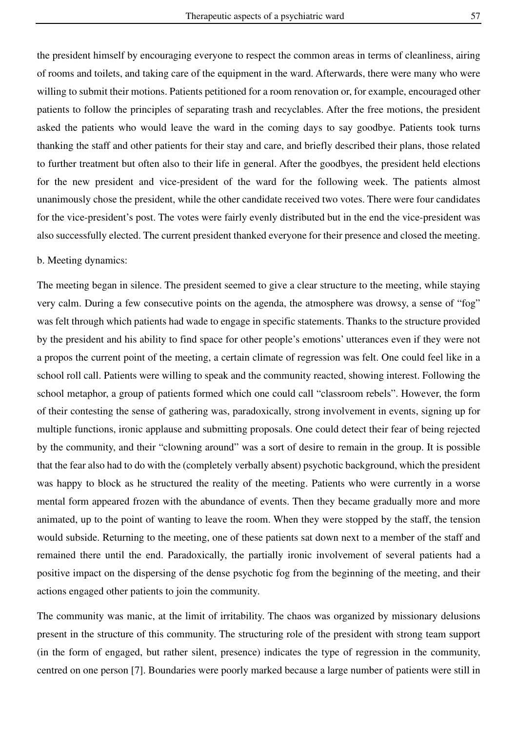the president himself by encouraging everyone to respect the common areas in terms of cleanliness, airing of rooms and toilets, and taking care of the equipment in the ward. Afterwards, there were many who were willing to submit their motions. Patients petitioned for a room renovation or, for example, encouraged other patients to follow the principles of separating trash and recyclables. After the free motions, the president asked the patients who would leave the ward in the coming days to say goodbye. Patients took turns thanking the staff and other patients for their stay and care, and briefly described their plans, those related to further treatment but often also to their life in general. After the goodbyes, the president held elections for the new president and vice-president of the ward for the following week. The patients almost unanimously chose the president, while the other candidate received two votes. There were four candidates for the vice-president's post. The votes were fairly evenly distributed but in the end the vice-president was also successfully elected. The current president thanked everyone for their presence and closed the meeting.

## b. Meeting dynamics:

The meeting began in silence. The president seemed to give a clear structure to the meeting, while staying very calm. During a few consecutive points on the agenda, the atmosphere was drowsy, a sense of "fog" was felt through which patients had wade to engage in specific statements. Thanks to the structure provided by the president and his ability to find space for other people's emotions' utterances even if they were not a propos the current point of the meeting, a certain climate of regression was felt. One could feel like in a school roll call. Patients were willing to speak and the community reacted, showing interest. Following the school metaphor, a group of patients formed which one could call "classroom rebels". However, the form of their contesting the sense of gathering was, paradoxically, strong involvement in events, signing up for multiple functions, ironic applause and submitting proposals. One could detect their fear of being rejected by the community, and their "clowning around" was a sort of desire to remain in the group. It is possible that the fear also had to do with the (completely verbally absent) psychotic background, which the president was happy to block as he structured the reality of the meeting. Patients who were currently in a worse mental form appeared frozen with the abundance of events. Then they became gradually more and more animated, up to the point of wanting to leave the room. When they were stopped by the staff, the tension would subside. Returning to the meeting, one of these patients sat down next to a member of the staff and remained there until the end. Paradoxically, the partially ironic involvement of several patients had a positive impact on the dispersing of the dense psychotic fog from the beginning of the meeting, and their actions engaged other patients to join the community.

The community was manic, at the limit of irritability. The chaos was organized by missionary delusions present in the structure of this community. The structuring role of the president with strong team support (in the form of engaged, but rather silent, presence) indicates the type of regression in the community, centred on one person [7]. Boundaries were poorly marked because a large number of patients were still in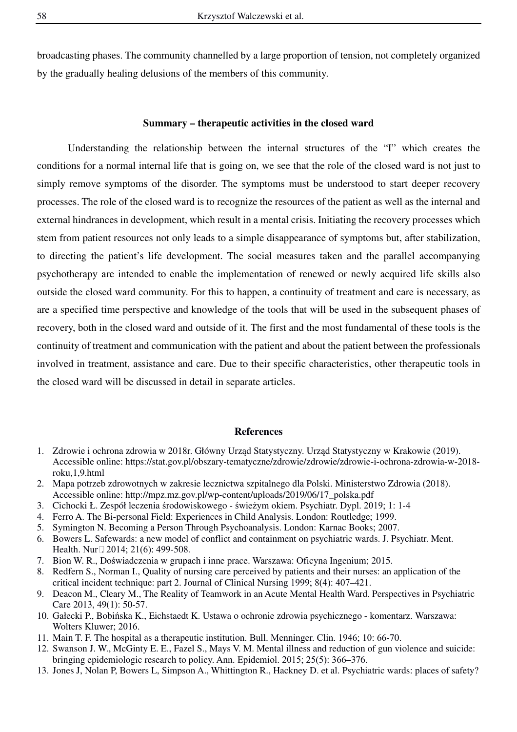broadcasting phases. The community channelled by a large proportion of tension, not completely organized by the gradually healing delusions of the members of this community.

## **Summary – therapeutic activities in the closed ward**

Understanding the relationship between the internal structures of the "I" which creates the conditions for a normal internal life that is going on, we see that the role of the closed ward is not just to simply remove symptoms of the disorder. The symptoms must be understood to start deeper recovery processes. The role of the closed ward is to recognize the resources of the patient as well as the internal and external hindrances in development, which result in a mental crisis. Initiating the recovery processes which stem from patient resources not only leads to a simple disappearance of symptoms but, after stabilization, to directing the patient's life development. The social measures taken and the parallel accompanying psychotherapy are intended to enable the implementation of renewed or newly acquired life skills also outside the closed ward community. For this to happen, a continuity of treatment and care is necessary, as are a specified time perspective and knowledge of the tools that will be used in the subsequent phases of recovery, both in the closed ward and outside of it. The first and the most fundamental of these tools is the continuity of treatment and communication with the patient and about the patient between the professionals involved in treatment, assistance and care. Due to their specific characteristics, other therapeutic tools in the closed ward will be discussed in detail in separate articles.

#### **References**

- 1. Zdrowie i ochrona zdrowia w 2018r. Główny Urząd Statystyczny. Urząd Statystyczny w Krakowie (2019). Accessible online: https://stat.gov.pl/obszary-tematyczne/zdrowie/zdrowie/zdrowie-i-ochrona-zdrowia-w-2018 roku,1,9.html
- 2. Mapa potrzeb zdrowotnych w zakresie lecznictwa szpitalnego dla Polski. Ministerstwo Zdrowia (2018). Accessible online: http://mpz.mz.gov.pl/wp-content/uploads/2019/06/17\_polska.pdf
- 3. Cichocki Ł. Zespół leczenia środowiskowego świeżym okiem. Psychiatr. Dypl. 2019; 1: 1-4
- 4. Ferro A. The Bi-personal Field: Experiences in Child Analysis. London: Routledge; 1999.
- 5. Symington N. Becoming a Person Through Psychoanalysis. London: Karnac Books; 2007.
- 6. Bowers L. Safewards: a new model of conflict and containment on psychiatric wards. J. Psychiatr. Ment. Health. Nur $\square$  2014; 21(6): 499-508.
- 7. Bion W. R., Doświadczenia w grupach i inne prace. Warszawa: Oficyna Ingenium; 2015.
- 8. Redfern S., Norman I., Quality of nursing care perceived by patients and their nurses: an application of the critical incident technique: part 2. Journal of Clinical Nursing 1999; 8(4): 407–421.
- 9. Deacon M., Cleary M., The Reality of Teamwork in an Acute Mental Health Ward. Perspectives in Psychiatric Care 2013, 49(1): 50-57.
- 10. Gałecki P., Bobińska K., Eichstaedt K. Ustawa o ochronie zdrowia psychicznego komentarz. Warszawa: Wolters Kluwer; 2016.
- 11. Main T. F. The hospital as a therapeutic institution. Bull. Menninger. Clin. 1946; 10: 66-70.
- 12. Swanson J. W., McGinty E. E., Fazel S., Mays V. M. Mental illness and reduction of gun violence and suicide: bringing epidemiologic research to policy. Ann. Epidemiol. 2015; 25(5): 366–376.
- 13. Jones J, Nolan P, Bowers L, Simpson A., Whittington R., Hackney D. et al. Psychiatric wards: places of safety?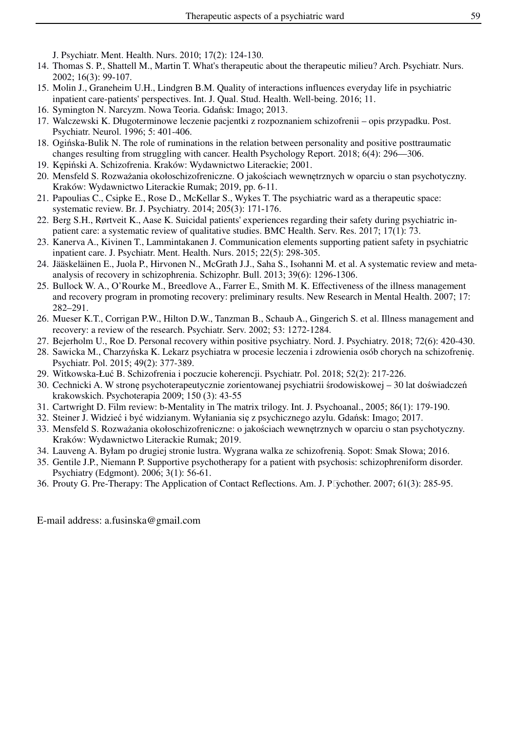J. Psychiatr. Ment. Health. Nurs. 2010; 17(2): 124‐130.

- 14. Thomas S. P., Shattell M., Martin T. What's therapeutic about the therapeutic milieu? Arch. Psychiatr. Nurs. 2002; 16(3): 99‐107.
- 15. Molin J., Graneheim U.H., Lindgren B.M. Quality of interactions influences everyday life in psychiatric inpatient care-patients' perspectives. Int. J. Qual. Stud. Health. Well-being. 2016; 11.
- 16. Symington N. Narcyzm. Nowa Teoria. Gdańsk: Imago; 2013.
- 17. Walczewski K. Długoterminowe leczenie pacjentki z rozpoznaniem schizofrenii opis przypadku. Post. Psychiatr. Neurol. 1996; 5: 401-406.
- 18. Ogińska-Bulik N. The role of ruminations in the relation between personality and positive posttraumatic changes resulting from struggling with cancer. Health Psychology Report. 2018; 6(4): 296—306.
- 19. Kępiński A. Schizofrenia. Kraków: Wydawnictwo Literackie; 2001.
- 20. Mensfeld S. Rozważania okołoschizofreniczne. O jakościach wewnętrznych w oparciu o stan psychotyczny. Kraków: Wydawnictwo Literackie Rumak; 2019, pp. 6-11.
- 21. Papoulias C., Csipke E., Rose D., McKellar S., Wykes T. The psychiatric ward as a therapeutic space: systematic review. Br. J. Psychiatry. 2014; 205(3): 171‐176.
- 22. Berg S.H., Rørtveit K., Aase K. Suicidal patients' experiences regarding their safety during psychiatric inpatient care: a systematic review of qualitative studies. BMC Health. Serv. Res. 2017; 17(1): 73.
- 23. Kanerva A., Kivinen T., Lammintakanen J. Communication elements supporting patient safety in psychiatric inpatient care. J. Psychiatr. Ment. Health. Nurs. 2015; 22(5): 298‐305.
- 24. Jääskeläinen E., Juola P., Hirvonen N., McGrath J.J., Saha S., Isohanni M. et al. A systematic review and metaanalysis of recovery in schizophrenia. Schizophr. Bull. 2013; 39(6): 1296‐1306.
- 25. Bullock W. A., O'Rourke M., Breedlove A., Farrer E., Smith M. K. Effectiveness of the illness management and recovery program in promoting recovery: preliminary results. New Research in Mental Health. 2007; 17: 282–291.
- 26. Mueser K.T., Corrigan P.W., Hilton D.W., Tanzman B., Schaub A., Gingerich S. et al. Illness management and recovery: a review of the research. Psychiatr. Serv. 2002; 53: 1272-1284.
- 27. Bejerholm U., Roe D. Personal recovery within positive psychiatry. Nord. J. Psychiatry. 2018; 72(6): 420-430.
- 28. Sawicka M., Charzyńska K. Lekarz psychiatra w procesie leczenia i zdrowienia osób chorych na schizofrenię. Psychiatr. Pol. 2015; 49(2): 377-389.
- 29. Witkowska-Łuć B. Schizofrenia i poczucie koherencji. Psychiatr. Pol. 2018; 52(2): 217-226.
- 30. Cechnicki A. W stronę psychoterapeutycznie zorientowanej psychiatrii środowiskowej 30 lat doświadczeń krakowskich. Psychoterapia 2009; 150 (3): 43-55
- 31. Cartwright D. Film review: b‐Mentality in The matrix trilogy. Int. J. Psychoanal., 2005; 86(1): 179-190.
- 32. Steiner J. Widzieć i być widzianym. Wyłaniania się z psychicznego azylu. Gdańsk: Imago; 2017.
- 33. Mensfeld S. Rozważania okołoschizofreniczne: o jakościach wewnętrznych w oparciu o stan psychotyczny. Kraków: Wydawnictwo Literackie Rumak; 2019.
- 34. Lauveng A. Byłam po drugiej stronie lustra. Wygrana walka ze schizofrenią. Sopot: Smak Słowa; 2016.
- 35. Gentile J.P., Niemann P. Supportive psychotherapy for a patient with psychosis: schizophreniform disorder. Psychiatry (Edgmont). 2006; 3(1): 56‐61.
- 36. Prouty G. Pre-Therapy: The Application of Contact Reflections. Am. J. Psychother. 2007; 61(3): 285-95.

E-mail address: a.fusinska@gmail.com